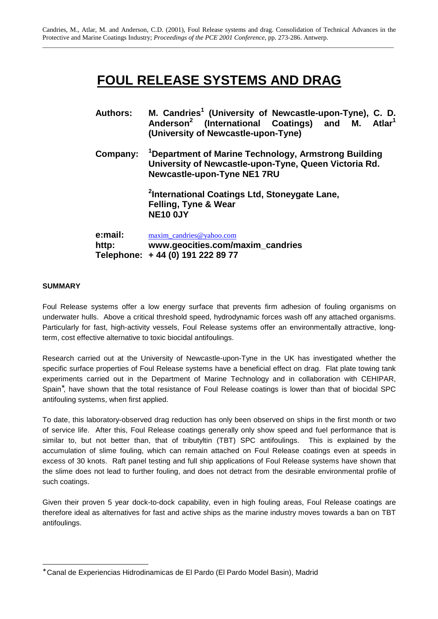# **FOUL RELEASE SYSTEMS AND DRAG**

| <b>Authors:</b>  | M. Candries <sup>1</sup> (University of Newcastle-upon-Tyne), C. D.<br>Anderson <sup>2</sup> (International Coatings) and M. Atlar <sup>1</sup><br>(University of Newcastle-upon-Tyne) |  |  |
|------------------|----------------------------------------------------------------------------------------------------------------------------------------------------------------------------------------|--|--|
| Company:         | <sup>1</sup> Department of Marine Technology, Armstrong Building<br>University of Newcastle-upon-Tyne, Queen Victoria Rd.<br><b>Newcastle-upon-Tyne NE1 7RU</b>                        |  |  |
|                  | <sup>2</sup> International Coatings Ltd, Stoneygate Lane,<br>Felling, Tyne & Wear<br><b>NE10 0JY</b>                                                                                   |  |  |
| e:mail:<br>http: | maxim candries@yahoo.com<br>www.geocities.com/maxim_candries                                                                                                                           |  |  |

# **SUMMARY**

l

Foul Release systems offer a low energy surface that prevents firm adhesion of fouling organisms on underwater hulls. Above a critical threshold speed, hydrodynamic forces wash off any attached organisms. Particularly for fast, high-activity vessels, Foul Release systems offer an environmentally attractive, longterm, cost effective alternative to toxic biocidal antifoulings.

**Telephone: + 44 (0) 191 222 89 77**

Research carried out at the University of Newcastle-upon-Tyne in the UK has investigated whether the specific surface properties of Foul Release systems have a beneficial effect on drag. Flat plate towing tank experiments carried out in the Department of Marine Technology and in collaboration with CEHIPAR, Spain<sup>\*</sup>, have shown that the total resistance of Foul Release coatings is lower than that of biocidal SPC antifouling systems, when first applied.

To date, this laboratory-observed drag reduction has only been observed on ships in the first month or two of service life. After this, Foul Release coatings generally only show speed and fuel performance that is similar to, but not better than, that of tributyltin (TBT) SPC antifoulings. This is explained by the accumulation of slime fouling, which can remain attached on Foul Release coatings even at speeds in excess of 30 knots. Raft panel testing and full ship applications of Foul Release systems have shown that the slime does not lead to further fouling, and does not detract from the desirable environmental profile of such coatings.

Given their proven 5 year dock-to-dock capability, even in high fouling areas, Foul Release coatings are therefore ideal as alternatives for fast and active ships as the marine industry moves towards a ban on TBT antifoulings.

<sup>∗</sup> Canal de Experiencias Hidrodinamicas de El Pardo (El Pardo Model Basin), Madrid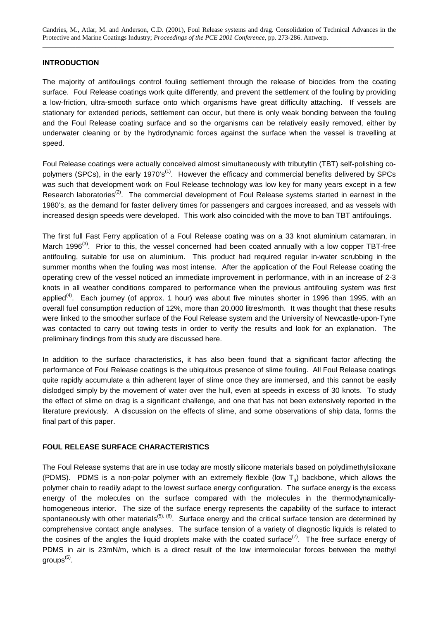Candries, M., Atlar, M. and Anderson, C.D. (2001), Foul Release systems and drag. Consolidation of Technical Advances in the Protective and Marine Coatings Industry; *Proceedings of the PCE 2001 Conference*, pp. 273-286. Antwerp. \_\_\_\_\_\_\_\_\_\_\_\_\_\_\_\_\_\_\_\_\_\_\_\_\_\_\_\_\_\_\_\_\_\_\_\_\_\_\_\_\_\_\_\_\_\_\_\_\_\_\_\_\_\_\_\_\_\_\_\_\_\_\_\_\_\_\_\_\_\_\_\_\_\_\_\_\_\_\_\_\_\_\_\_\_\_\_\_\_\_\_\_\_\_\_\_\_\_\_\_\_\_\_\_\_\_

### **INTRODUCTION**

The majority of antifoulings control fouling settlement through the release of biocides from the coating surface. Foul Release coatings work quite differently, and prevent the settlement of the fouling by providing a low-friction, ultra-smooth surface onto which organisms have great difficulty attaching. If vessels are stationary for extended periods, settlement can occur, but there is only weak bonding between the fouling and the Foul Release coating surface and so the organisms can be relatively easily removed, either by underwater cleaning or by the hydrodynamic forces against the surface when the vessel is travelling at speed.

Foul Release coatings were actually conceived almost simultaneously with tributyltin (TBT) self-polishing copolymers (SPCs), in the early 1970's<sup>(1)</sup>. However the efficacy and commercial benefits delivered by SPCs was such that development work on Foul Release technology was low key for many years except in a few Research laboratories<sup>(2)</sup>. The commercial development of Foul Release systems started in earnest in the 1980's, as the demand for faster delivery times for passengers and cargoes increased, and as vessels with increased design speeds were developed. This work also coincided with the move to ban TBT antifoulings.

The first full Fast Ferry application of a Foul Release coating was on a 33 knot aluminium catamaran, in March 1996<sup>(3)</sup>. Prior to this, the vessel concerned had been coated annually with a low copper TBT-free antifouling, suitable for use on aluminium. This product had required regular in-water scrubbing in the summer months when the fouling was most intense. After the application of the Foul Release coating the operating crew of the vessel noticed an immediate improvement in performance, with in an increase of 2-3 knots in all weather conditions compared to performance when the previous antifouling system was first applied<sup>(4)</sup>. Each journey (of approx. 1 hour) was about five minutes shorter in 1996 than 1995, with an overall fuel consumption reduction of 12%, more than 20,000 litres/month. It was thought that these results were linked to the smoother surface of the Foul Release system and the University of Newcastle-upon-Tyne was contacted to carry out towing tests in order to verify the results and look for an explanation. The preliminary findings from this study are discussed here.

In addition to the surface characteristics, it has also been found that a significant factor affecting the performance of Foul Release coatings is the ubiquitous presence of slime fouling. All Foul Release coatings quite rapidly accumulate a thin adherent layer of slime once they are immersed, and this cannot be easily dislodged simply by the movement of water over the hull, even at speeds in excess of 30 knots. To study the effect of slime on drag is a significant challenge, and one that has not been extensively reported in the literature previously. A discussion on the effects of slime, and some observations of ship data, forms the final part of this paper.

# **FOUL RELEASE SURFACE CHARACTERISTICS**

The Foul Release systems that are in use today are mostly silicone materials based on polydimethylsiloxane (PDMS). PDMS is a non-polar polymer with an extremely flexible (low  $T_q$ ) backbone, which allows the polymer chain to readily adapt to the lowest surface energy configuration. The surface energy is the excess energy of the molecules on the surface compared with the molecules in the thermodynamicallyhomogeneous interior. The size of the surface energy represents the capability of the surface to interact spontaneously with other materials<sup>(5), (6)</sup>. Surface energy and the critical surface tension are determined by comprehensive contact angle analyses. The surface tension of a variety of diagnostic liquids is related to the cosines of the angles the liquid droplets make with the coated surface<sup>(7)</sup>. The free surface energy of PDMS in air is 23mN/m, which is a direct result of the low intermolecular forces between the methyl groups<sup>(5)</sup>.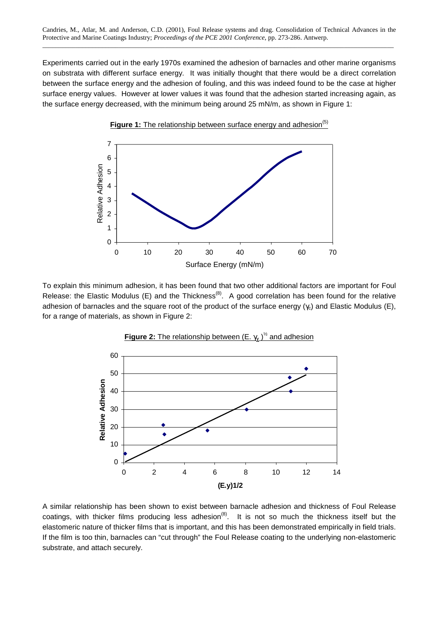Experiments carried out in the early 1970s examined the adhesion of barnacles and other marine organisms on substrata with different surface energy. It was initially thought that there would be a direct correlation between the surface energy and the adhesion of fouling, and this was indeed found to be the case at higher surface energy values. However at lower values it was found that the adhesion started increasing again, as the surface energy decreased, with the minimum being around 25 mN/m, as shown in Figure 1:



To explain this minimum adhesion, it has been found that two other additional factors are important for Foul Release: the Elastic Modulus (E) and the Thickness<sup>(8)</sup>. A good correlation has been found for the relative adhesion of barnacles and the square root of the product of the surface energy  $(\gamma_c)$  and Elastic Modulus (E), for a range of materials, as shown in Figure 2:





A similar relationship has been shown to exist between barnacle adhesion and thickness of Foul Release coatings, with thicker films producing less adhesion<sup>(8)</sup>. It is not so much the thickness itself but the elastomeric nature of thicker films that is important, and this has been demonstrated empirically in field trials. If the film is too thin, barnacles can "cut through" the Foul Release coating to the underlying non-elastomeric substrate, and attach securely.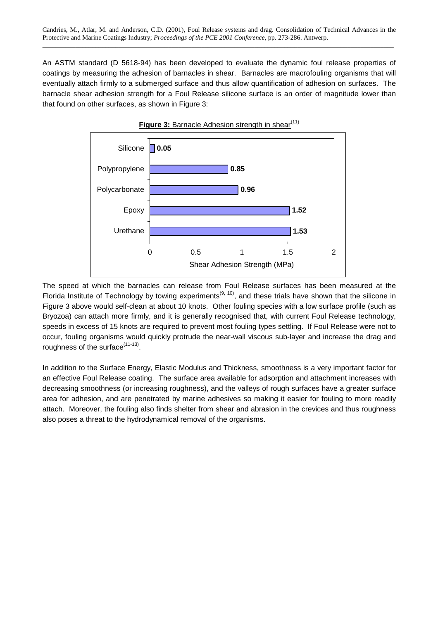An ASTM standard (D 5618-94) has been developed to evaluate the dynamic foul release properties of coatings by measuring the adhesion of barnacles in shear. Barnacles are macrofouling organisms that will eventually attach firmly to a submerged surface and thus allow quantification of adhesion on surfaces. The barnacle shear adhesion strength for a Foul Release silicone surface is an order of magnitude lower than that found on other surfaces, as shown in Figure 3:



The speed at which the barnacles can release from Foul Release surfaces has been measured at the Florida Institute of Technology by towing experiments<sup>(9, 10)</sup>, and these trials have shown that the silicone in Figure 3 above would self-clean at about 10 knots. Other fouling species with a low surface profile (such as Bryozoa) can attach more firmly, and it is generally recognised that, with current Foul Release technology, speeds in excess of 15 knots are required to prevent most fouling types settling. If Foul Release were not to occur, fouling organisms would quickly protrude the near-wall viscous sub-layer and increase the drag and roughness of the surface<sup>(11-13)</sup>.

In addition to the Surface Energy, Elastic Modulus and Thickness, smoothness is a very important factor for an effective Foul Release coating. The surface area available for adsorption and attachment increases with decreasing smoothness (or increasing roughness), and the valleys of rough surfaces have a greater surface area for adhesion, and are penetrated by marine adhesives so making it easier for fouling to more readily attach. Moreover, the fouling also finds shelter from shear and abrasion in the crevices and thus roughness also poses a threat to the hydrodynamical removal of the organisms.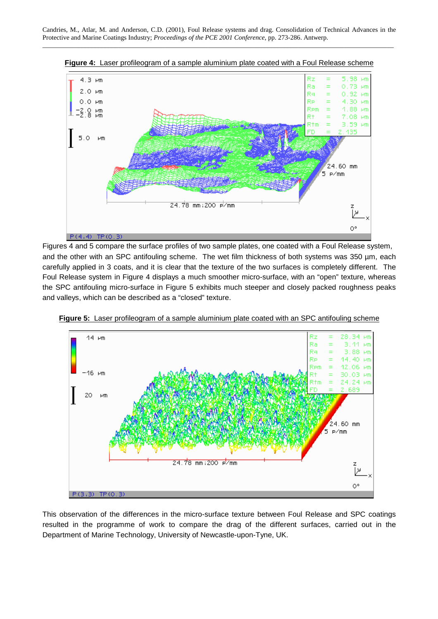

**Figure 4:** Laser profileogram of a sample aluminium plate coated with a Foul Release scheme

Figures 4 and 5 compare the surface profiles of two sample plates, one coated with a Foul Release system, and the other with an SPC antifouling scheme. The wet film thickness of both systems was 350 µm, each carefully applied in 3 coats, and it is clear that the texture of the two surfaces is completely different. The Foul Release system in Figure 4 displays a much smoother micro-surface, with an "open" texture, whereas the SPC antifouling micro-surface in Figure 5 exhibits much steeper and closely packed roughness peaks and valleys, which can be described as a "closed" texture.



**Figure 5:** Laser profileogram of a sample aluminium plate coated with an SPC antifouling scheme

This observation of the differences in the micro-surface texture between Foul Release and SPC coatings resulted in the programme of work to compare the drag of the different surfaces, carried out in the Department of Marine Technology, University of Newcastle-upon-Tyne, UK.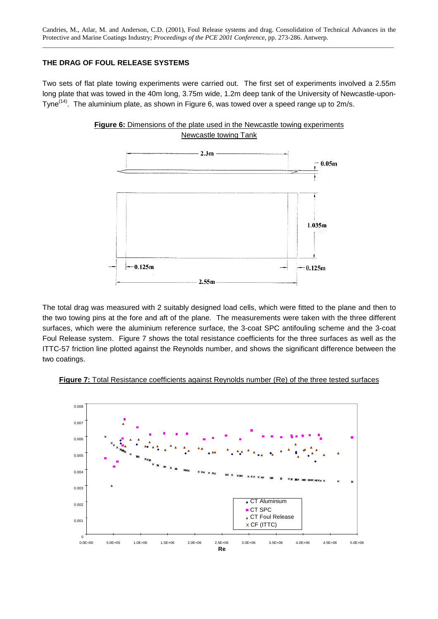# **THE DRAG OF FOUL RELEASE SYSTEMS**

Two sets of flat plate towing experiments were carried out. The first set of experiments involved a 2.55m long plate that was towed in the 40m long, 3.75m wide, 1.2m deep tank of the University of Newcastle-upon-Tyne<sup>(14)</sup>. The aluminium plate, as shown in Figure 6, was towed over a speed range up to 2m/s.



**Figure 6:** Dimensions of the plate used in the Newcastle towing experiments Newcastle towing Tank

The total drag was measured with 2 suitably designed load cells, which were fitted to the plane and then to the two towing pins at the fore and aft of the plane. The measurements were taken with the three different surfaces, which were the aluminium reference surface, the 3-coat SPC antifouling scheme and the 3-coat Foul Release system. Figure 7 shows the total resistance coefficients for the three surfaces as well as the ITTC-57 friction line plotted against the Reynolds number, and shows the significant difference between the two coatings.



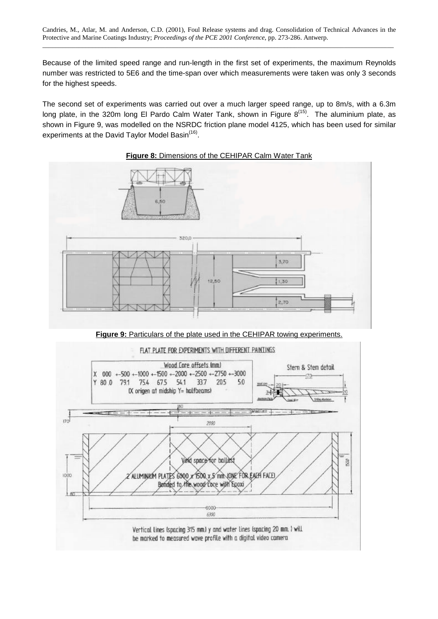Because of the limited speed range and run-length in the first set of experiments, the maximum Reynolds number was restricted to 5E6 and the time-span over which measurements were taken was only 3 seconds for the highest speeds.

The second set of experiments was carried out over a much larger speed range, up to 8m/s, with a 6.3m long plate, in the 320m long El Pardo Calm Water Tank, shown in Figure  $8^{(15)}$ . The aluminium plate, as shown in Figure 9, was modelled on the NSRDC friction plane model 4125, which has been used for similar experiments at the David Taylor Model Basin<sup>(16)</sup>.



# **Figure 8:** Dimensions of the CEHIPAR Calm Water Tank

**Figure 9:** Particulars of the plate used in the CEHIPAR towing experiments.

#### FLAT PLATE FOR EXPERIMENTS WITH DIFFERENT PAINTINGS

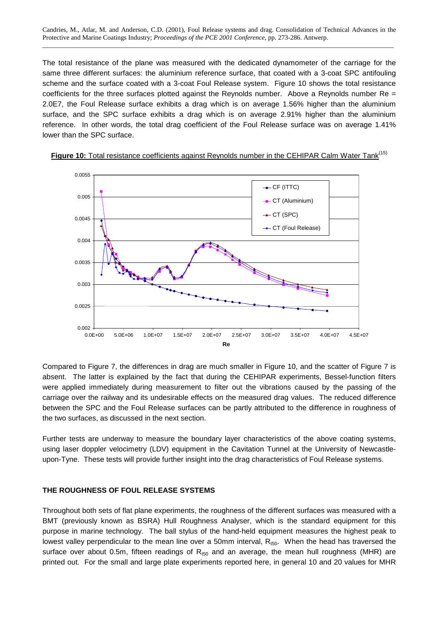Candries, M., Atlar, M. and Anderson, C.D. (2001), Foul Release systems and drag. Consolidation of Technical Advances in the Protective and Marine Coatings Industry; *Proceedings of the PCE 2001 Conference*, pp. 273-286. Antwerp. \_\_\_\_\_\_\_\_\_\_\_\_\_\_\_\_\_\_\_\_\_\_\_\_\_\_\_\_\_\_\_\_\_\_\_\_\_\_\_\_\_\_\_\_\_\_\_\_\_\_\_\_\_\_\_\_\_\_\_\_\_\_\_\_\_\_\_\_\_\_\_\_\_\_\_\_\_\_\_\_\_\_\_\_\_\_\_\_\_\_\_\_\_\_\_\_\_\_\_\_\_\_\_\_\_\_

The total resistance of the plane was measured with the dedicated dynamometer of the carriage for the same three different surfaces: the aluminium reference surface, that coated with a 3-coat SPC antifouling scheme and the surface coated with a 3-coat Foul Release system. Figure 10 shows the total resistance coefficients for the three surfaces plotted against the Reynolds number. Above a Reynolds number  $Re =$ 2.0E7, the Foul Release surface exhibits a drag which is on average 1.56% higher than the aluminium surface, and the SPC surface exhibits a drag which is on average 2.91% higher than the aluminium reference. In other words, the total drag coefficient of the Foul Release surface was on average 1.41% lower than the SPC surface.

![](_page_7_Figure_2.jpeg)

![](_page_7_Figure_3.jpeg)

Compared to Figure 7, the differences in drag are much smaller in Figure 10, and the scatter of Figure 7 is absent. The latter is explained by the fact that during the CEHIPAR experiments, Bessel-function filters were applied immediately during measurement to filter out the vibrations caused by the passing of the carriage over the railway and its undesirable effects on the measured drag values. The reduced difference between the SPC and the Foul Release surfaces can be partly attributed to the difference in roughness of the two surfaces, as discussed in the next section.

Further tests are underway to measure the boundary layer characteristics of the above coating systems, using laser doppler velocimetry (LDV) equipment in the Cavitation Tunnel at the University of Newcastleupon-Tyne. These tests will provide further insight into the drag characteristics of Foul Release systems.

# **THE ROUGHNESS OF FOUL RELEASE SYSTEMS**

Throughout both sets of flat plane experiments, the roughness of the different surfaces was measured with a BMT (previously known as BSRA) Hull Roughness Analyser, which is the standard equipment for this purpose in marine technology. The ball stylus of the hand-held equipment measures the highest peak to lowest valley perpendicular to the mean line over a 50mm interval,  $R_{t50}$ . When the head has traversed the surface over about 0.5m, fifteen readings of  $R_{t50}$  and an average, the mean hull roughness (MHR) are printed out. For the small and large plate experiments reported here, in general 10 and 20 values for MHR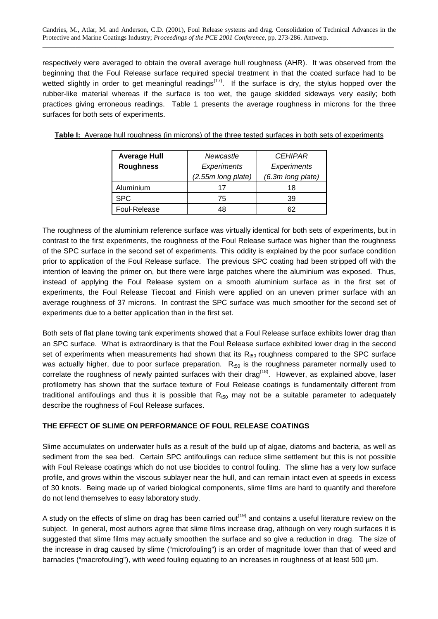respectively were averaged to obtain the overall average hull roughness (AHR). It was observed from the beginning that the Foul Release surface required special treatment in that the coated surface had to be wetted slightly in order to get meaningful readings<sup> $(17)$ </sup>. If the surface is dry, the stylus hopped over the rubber-like material whereas if the surface is too wet, the gauge skidded sideways very easily; both practices giving erroneous readings. Table 1 presents the average roughness in microns for the three surfaces for both sets of experiments.

**Table I:** Average hull roughness (in microns) of the three tested surfaces in both sets of experiments

| <b>Average Hull</b> | Newcastle          | <b>CEHIPAR</b>    |
|---------------------|--------------------|-------------------|
| <b>Roughness</b>    | Experiments        | Experiments       |
|                     | (2.55m long plate) | (6.3m long plate) |
| Aluminium           | 17                 | 18                |
| <b>SPC</b>          | 75                 | 39                |
| Foul-Release        | 48                 | 62                |

The roughness of the aluminium reference surface was virtually identical for both sets of experiments, but in contrast to the first experiments, the roughness of the Foul Release surface was higher than the roughness of the SPC surface in the second set of experiments. This oddity is explained by the poor surface condition prior to application of the Foul Release surface. The previous SPC coating had been stripped off with the intention of leaving the primer on, but there were large patches where the aluminium was exposed. Thus, instead of applying the Foul Release system on a smooth aluminium surface as in the first set of experiments, the Foul Release Tiecoat and Finish were applied on an uneven primer surface with an average roughness of 37 microns. In contrast the SPC surface was much smoother for the second set of experiments due to a better application than in the first set.

Both sets of flat plane towing tank experiments showed that a Foul Release surface exhibits lower drag than an SPC surface. What is extraordinary is that the Foul Release surface exhibited lower drag in the second set of experiments when measurements had shown that its  $R_{t50}$  roughness compared to the SPC surface was actually higher, due to poor surface preparation.  $R_{t50}$  is the roughness parameter normally used to correlate the roughness of newly painted surfaces with their drag<sup>(18)</sup>. However, as explained above, laser profilometry has shown that the surface texture of Foul Release coatings is fundamentally different from traditional antifoulings and thus it is possible that  $R_{t50}$  may not be a suitable parameter to adequately describe the roughness of Foul Release surfaces.

# **THE EFFECT OF SLIME ON PERFORMANCE OF FOUL RELEASE COATINGS**

Slime accumulates on underwater hulls as a result of the build up of algae, diatoms and bacteria, as well as sediment from the sea bed. Certain SPC antifoulings can reduce slime settlement but this is not possible with Foul Release coatings which do not use biocides to control fouling. The slime has a very low surface profile, and grows within the viscous sublayer near the hull, and can remain intact even at speeds in excess of 30 knots. Being made up of varied biological components, slime films are hard to quantify and therefore do not lend themselves to easy laboratory study.

A study on the effects of slime on drag has been carried out<sup>(19)</sup> and contains a useful literature review on the subject. In general, most authors agree that slime films increase drag, although on very rough surfaces it is suggested that slime films may actually smoothen the surface and so give a reduction in drag. The size of the increase in drag caused by slime ("microfouling") is an order of magnitude lower than that of weed and barnacles ("macrofouling"), with weed fouling equating to an increases in roughness of at least 500 µm.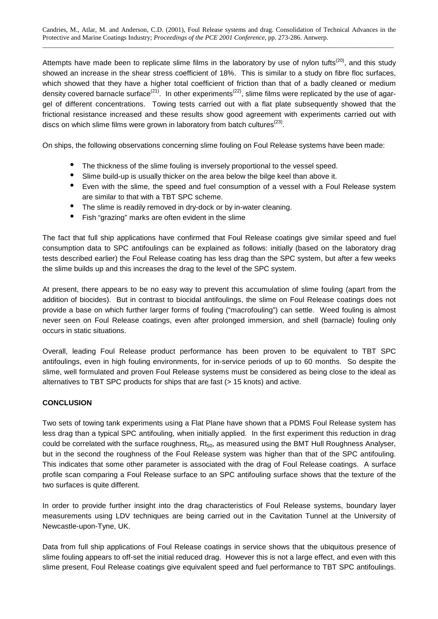Attempts have made been to replicate slime films in the laboratory by use of nylon tufts<sup>(20)</sup>, and this study showed an increase in the shear stress coefficient of 18%. This is similar to a study on fibre floc surfaces, which showed that they have a higher total coefficient of friction than that of a badly cleaned or medium density covered barnacle surface<sup>(21)</sup>. In other experiments<sup>(22)</sup>, slime films were replicated by the use of agargel of different concentrations. Towing tests carried out with a flat plate subsequently showed that the frictional resistance increased and these results show good agreement with experiments carried out with discs on which slime films were grown in laboratory from batch cultures<sup>(23)</sup>.

On ships, the following observations concerning slime fouling on Foul Release systems have been made:

- The thickness of the slime fouling is inversely proportional to the vessel speed.
- Slime build-up is usually thicker on the area below the bilge keel than above it.
- Even with the slime, the speed and fuel consumption of a vessel with a Foul Release system are similar to that with a TBT SPC scheme.
- The slime is readily removed in dry-dock or by in-water cleaning.
- Fish "grazing" marks are often evident in the slime

The fact that full ship applications have confirmed that Foul Release coatings give similar speed and fuel consumption data to SPC antifoulings can be explained as follows: initially (based on the laboratory drag tests described earlier) the Foul Release coating has less drag than the SPC system, but after a few weeks the slime builds up and this increases the drag to the level of the SPC system.

At present, there appears to be no easy way to prevent this accumulation of slime fouling (apart from the addition of biocides). But in contrast to biocidal antifoulings, the slime on Foul Release coatings does not provide a base on which further larger forms of fouling ("macrofouling") can settle. Weed fouling is almost never seen on Foul Release coatings, even after prolonged immersion, and shell (barnacle) fouling only occurs in static situations.

Overall, leading Foul Release product performance has been proven to be equivalent to TBT SPC antifoulings, even in high fouling environments, for in-service periods of up to 60 months. So despite the slime, well formulated and proven Foul Release systems must be considered as being close to the ideal as alternatives to TBT SPC products for ships that are fast (> 15 knots) and active.

# **CONCLUSION**

Two sets of towing tank experiments using a Flat Plane have shown that a PDMS Foul Release system has less drag than a typical SPC antifouling, when initially applied. In the first experiment this reduction in drag could be correlated with the surface roughness,  $Rt_{50}$ , as measured using the BMT Hull Roughness Analyser, but in the second the roughness of the Foul Release system was higher than that of the SPC antifouling. This indicates that some other parameter is associated with the drag of Foul Release coatings. A surface profile scan comparing a Foul Release surface to an SPC antifouling surface shows that the texture of the two surfaces is quite different.

In order to provide further insight into the drag characteristics of Foul Release systems, boundary layer measurements using LDV techniques are being carried out in the Cavitation Tunnel at the University of Newcastle-upon-Tyne, UK.

Data from full ship applications of Foul Release coatings in service shows that the ubiquitous presence of slime fouling appears to off-set the initial reduced drag. However this is not a large effect, and even with this slime present, Foul Release coatings give equivalent speed and fuel performance to TBT SPC antifoulings.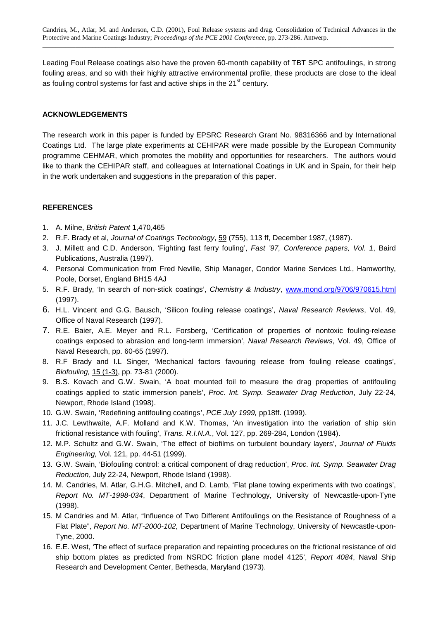Leading Foul Release coatings also have the proven 60-month capability of TBT SPC antifoulings, in strong fouling areas, and so with their highly attractive environmental profile, these products are close to the ideal as fouling control systems for fast and active ships in the  $21<sup>st</sup>$  century.

# **ACKNOWLEDGEMENTS**

The research work in this paper is funded by EPSRC Research Grant No. 98316366 and by International Coatings Ltd. The large plate experiments at CEHIPAR were made possible by the European Community programme CEHMAR, which promotes the mobility and opportunities for researchers. The authors would like to thank the CEHIPAR staff, and colleagues at International Coatings in UK and in Spain, for their help in the work undertaken and suggestions in the preparation of this paper.

# **REFERENCES**

- 1. A. Milne, *British Patent* 1,470,465
- 2. R.F. Brady et al, *Journal of Coatings Technology*, 59 (755), 113 ff, December 1987, (1987).
- 3. J. Millett and C.D. Anderson, 'Fighting fast ferry fouling', *Fast '97, Conference papers, Vol. 1*, Baird Publications, Australia (1997).
- 4. Personal Communication from Fred Neville, Ship Manager, Condor Marine Services Ltd., Hamworthy, Poole, Dorset, England BH15 4AJ
- 5. R.F. Brady, 'In search of non-stick coatings', *Chemistry & Industry*, www.mond.org/9706/970615.html (1997).
- 6. H.L. Vincent and G.G. Bausch, 'Silicon fouling release coatings', *Naval Research Reviews*, Vol. 49, Office of Naval Research (1997).
- 7. R.E. Baier, A.E. Meyer and R.L. Forsberg, 'Certification of properties of nontoxic fouling-release coatings exposed to abrasion and long-term immersion', *Naval Research Reviews*, Vol. 49, Office of Naval Research, pp. 60-65 (1997).
- 8. R.F Brady and I.L Singer, 'Mechanical factors favouring release from fouling release coatings', *Biofouling,* 15 (1-3), pp. 73-81 (2000).
- 9. B.S. Kovach and G.W. Swain, 'A boat mounted foil to measure the drag properties of antifouling coatings applied to static immersion panels', *Proc. Int. Symp. Seawater Drag Reduction*, July 22-24, Newport, Rhode Island (1998).
- 10. G.W. Swain, 'Redefining antifouling coatings', *PCE July 1999,* pp18ff. (1999).
- 11. J.C. Lewthwaite, A.F. Molland and K.W. Thomas, 'An investigation into the variation of ship skin frictional resistance with fouling', *Trans. R.I.N.A*., Vol. 127, pp. 269-284, London (1984).
- 12. M.P. Schultz and G.W. Swain, 'The effect of biofilms on turbulent boundary layers', *Journal of Fluids Engineering,* Vol. 121, pp. 44-51 (1999).
- 13. G.W. Swain, 'Biofouling control: a critical component of drag reduction', *Proc. Int. Symp. Seawater Drag Reduction*, July 22-24, Newport, Rhode Island (1998).
- 14. M. Candries, M. Atlar, G.H.G. Mitchell, and D. Lamb, 'Flat plane towing experiments with two coatings', *Report No. MT-1998-034*, Department of Marine Technology, University of Newcastle-upon-Tyne (1998).
- 15. M Candries and M. Atlar, "Influence of Two Different Antifoulings on the Resistance of Roughness of a Flat Plate", *Report No. MT-2000-102,* Department of Marine Technology, University of Newcastle-upon-Tyne, 2000.
- 16. E.E. West, 'The effect of surface preparation and repainting procedures on the frictional resistance of old ship bottom plates as predicted from NSRDC friction plane model 4125', *Report 4084*, Naval Ship Research and Development Center, Bethesda, Maryland (1973).